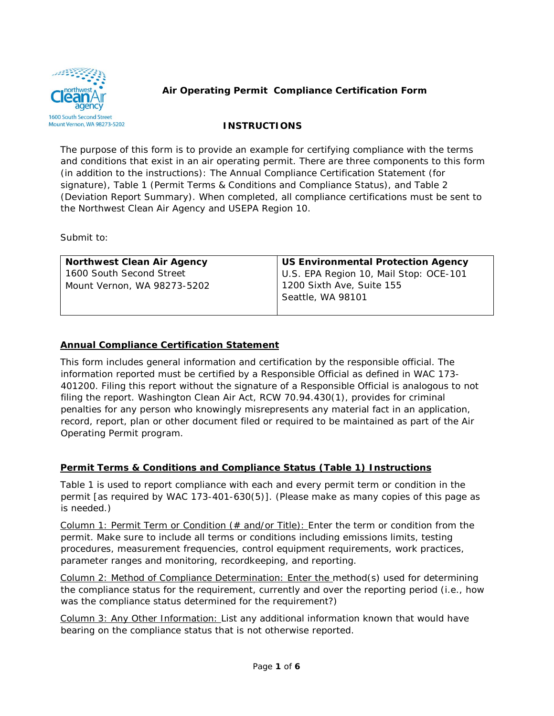

## **INSTRUCTIONS**

The purpose of this form is to provide an example for certifying compliance with the terms and conditions that exist in an air operating permit. There are three components to this form (in addition to the instructions): The Annual Compliance Certification Statement (for signature), Table 1 (Permit Terms & Conditions and Compliance Status), and Table 2 (Deviation Report Summary). When completed, all compliance certifications must be sent to the Northwest Clean Air Agency and USEPA Region 10.

Submit to:

| Northwest Clean Air Agency  | US Environmental Protection Agency     |
|-----------------------------|----------------------------------------|
| 1600 South Second Street    | U.S. EPA Region 10, Mail Stop: OCE-101 |
| Mount Vernon, WA 98273-5202 | 1200 Sixth Ave, Suite 155              |
|                             | Seattle, WA 98101                      |
|                             |                                        |

# **Annual Compliance Certification Statement**

This form includes general information and certification by the responsible official. The information reported must be certified by a Responsible Official as defined in WAC 173- 401200. Filing this report without the signature of a Responsible Official is analogous to not filing the report. Washington Clean Air Act, RCW 70.94.430(1), provides for criminal penalties for any person who knowingly misrepresents any material fact in an application, record, report, plan or other document filed or required to be maintained as part of the Air Operating Permit program.

#### **Permit Terms & Conditions and Compliance Status (Table 1) Instructions**

Table 1 is used to report compliance with each and every permit term or condition in the permit [as required by WAC 173-401-630(5)]. (Please make as many copies of this page as is needed.)

Column 1: Permit Term or Condition (# and/or Title): Enter the term or condition from the permit. Make sure to include all terms or conditions including emissions limits, testing procedures, measurement frequencies, control equipment requirements, work practices, parameter ranges and monitoring, recordkeeping, and reporting.

Column 2: Method of Compliance Determination: Enter the method(s) used for determining the compliance status for the requirement, currently and over the reporting period (i.e., how was the compliance status determined for the requirement?)

Column 3: Any Other Information: List any additional information known that would have bearing on the compliance status that is not otherwise reported.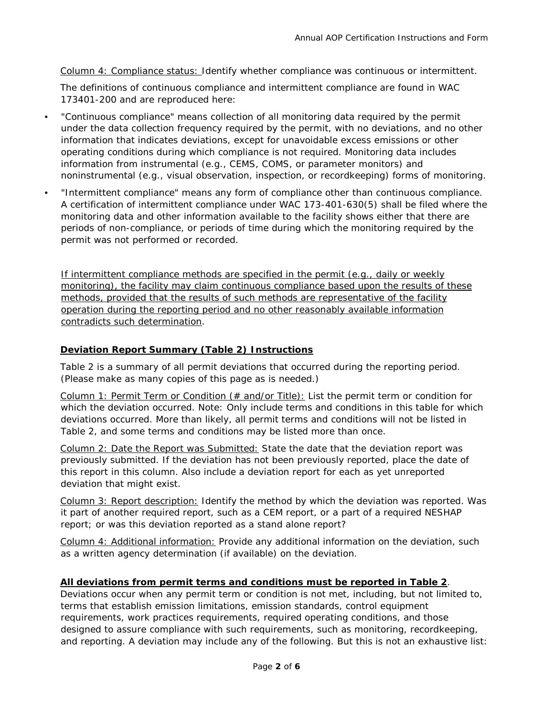Column 4: Compliance status: Identify whether compliance was continuous or intermittent.

The definitions of continuous compliance and intermittent compliance are found in WAC 173401-200 and are reproduced here:

- "Continuous compliance" means collection of all monitoring data required by the permit under the data collection frequency required by the permit, with no deviations, and no other information that indicates deviations, except for unavoidable excess emissions or other operating conditions during which compliance is not required. Monitoring data includes information from instrumental (e.g., CEMS, COMS, or parameter monitors) and noninstrumental (e.g., visual observation, inspection, or recordkeeping) forms of monitoring.
- "Intermittent compliance" means any form of compliance other than continuous compliance. A certification of intermittent compliance under WAC 173-401-630(5) shall be filed where the monitoring data and other information available to the facility shows either that there are periods of non-compliance, or periods of time during which the monitoring required by the permit was not performed or recorded.

If intermittent compliance methods are specified in the permit (e.g., daily or weekly monitoring), the facility may claim continuous compliance based upon the results of these methods, provided that the results of such methods are representative of the facility operation during the reporting period and no other reasonably available information contradicts such determination.

# **Deviation Report Summary (Table 2) Instructions**

Table 2 is a summary of all permit deviations that occurred during the reporting period. (Please make as many copies of this page as is needed.)

Column 1: Permit Term or Condition (# and/or Title): List the permit term or condition for which the deviation occurred. Note: Only include terms and conditions in this table for which deviations occurred. More than likely, all permit terms and conditions will not be listed in Table 2, and some terms and conditions may be listed more than once.

Column 2: Date the Report was Submitted: State the date that the deviation report was previously submitted. If the deviation has not been previously reported, place the date of this report in this column. Also include a deviation report for each as yet unreported deviation that might exist.

Column 3: Report description: Identify the method by which the deviation was reported. Was it part of another required report, such as a CEM report, or a part of a required NESHAP report; or was this deviation reported as a stand alone report?

Column 4: Additional information: Provide any additional information on the deviation, such as a written agency determination (if available) on the deviation.

#### **All deviations from permit terms and conditions must be reported in Table 2**.

Deviations occur when any permit term or condition is not met, including, but not limited to, terms that establish emission limitations, emission standards, control equipment requirements, work practices requirements, required operating conditions, and those designed to assure compliance with such requirements, such as monitoring, recordkeeping, and reporting. A deviation may include any of the following. But this is not an exhaustive list: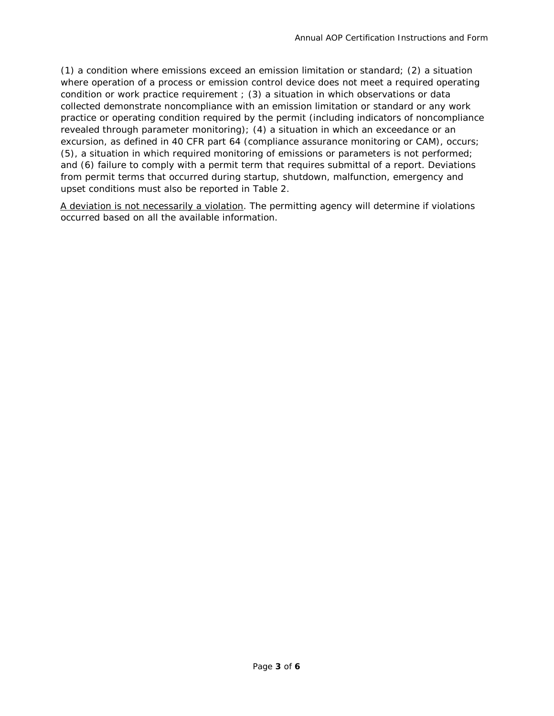(1) a condition where emissions exceed an emission limitation or standard; (2) a situation where operation of a process or emission control device does not meet a required operating condition or work practice requirement ; (3) a situation in which observations or data collected demonstrate noncompliance with an emission limitation or standard or any work practice or operating condition required by the permit (including indicators of noncompliance revealed through parameter monitoring); (4) a situation in which an exceedance or an excursion, as defined in 40 CFR part 64 (compliance assurance monitoring or CAM), occurs; (5), a situation in which required monitoring of emissions or parameters is not performed; and (6) failure to comply with a permit term that requires submittal of a report. Deviations from permit terms that occurred during startup, shutdown, malfunction, emergency and upset conditions must also be reported in Table 2.

A deviation is not necessarily a violation. The permitting agency will determine if violations occurred based on all the available information.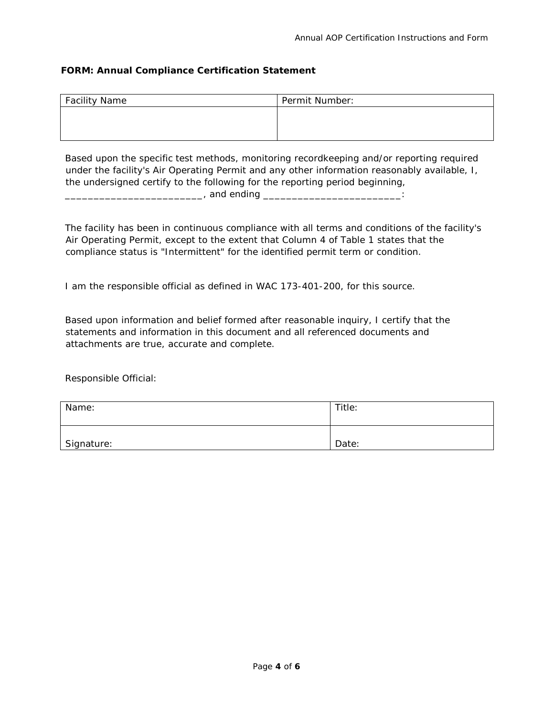## **FORM: Annual Compliance Certification Statement**

| <b>Facility Name</b> | Permit Number: |  |
|----------------------|----------------|--|
|                      |                |  |
|                      |                |  |
|                      |                |  |

Based upon the specific test methods, monitoring recordkeeping and/or reporting required under the facility's Air Operating Permit and any other information reasonably available, I, the undersigned certify to the following for the reporting period beginning, \_\_\_\_\_\_\_\_\_\_\_\_\_\_\_\_\_\_\_\_\_\_\_\_, and ending \_\_\_\_\_\_\_\_\_\_\_\_\_\_\_\_\_\_\_\_\_\_\_\_:

The facility has been in continuous compliance with all terms and conditions of the facility's Air Operating Permit, except to the extent that Column 4 of Table 1 states that the compliance status is "Intermittent" for the identified permit term or condition.

I am the responsible official as defined in WAC 173-401-200, for this source.

Based upon information and belief formed after reasonable inquiry, I certify that the statements and information in this document and all referenced documents and attachments are true, accurate and complete.

Responsible Official:

| Name:      | Title: |
|------------|--------|
| Signature: | Date:  |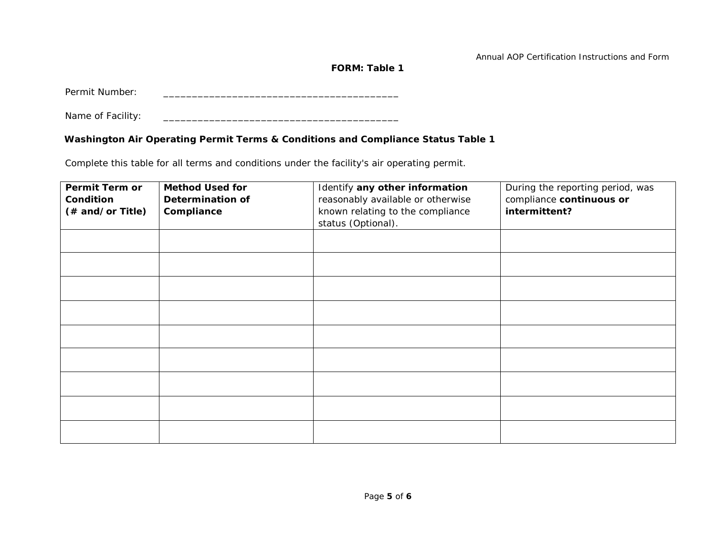Annual AOP Certification Instructions and Form

**FORM: Table 1** 

Permit Number: \_\_\_\_\_\_\_\_\_\_\_\_\_\_\_\_\_\_\_\_\_\_\_\_\_\_\_\_\_\_\_\_\_\_\_\_\_\_\_\_\_

Name of Facility: \_\_\_\_\_\_\_\_\_\_\_\_\_\_\_\_\_\_\_\_\_\_\_\_\_\_\_\_\_\_\_\_\_\_\_\_\_\_\_\_\_

## **Washington Air Operating Permit Terms & Conditions and Compliance Status Table 1**

Complete this table for all terms and conditions under the facility's air operating permit.

| Permit Term or<br>Condition<br>(# and/or Title) | <b>Method Used for</b><br><b>Determination of</b><br>Compliance | Identify any other information<br>reasonably available or otherwise<br>known relating to the compliance<br>status (Optional). | During the reporting period, was<br>compliance continuous or<br>intermittent? |
|-------------------------------------------------|-----------------------------------------------------------------|-------------------------------------------------------------------------------------------------------------------------------|-------------------------------------------------------------------------------|
|                                                 |                                                                 |                                                                                                                               |                                                                               |
|                                                 |                                                                 |                                                                                                                               |                                                                               |
|                                                 |                                                                 |                                                                                                                               |                                                                               |
|                                                 |                                                                 |                                                                                                                               |                                                                               |
|                                                 |                                                                 |                                                                                                                               |                                                                               |
|                                                 |                                                                 |                                                                                                                               |                                                                               |
|                                                 |                                                                 |                                                                                                                               |                                                                               |
|                                                 |                                                                 |                                                                                                                               |                                                                               |
|                                                 |                                                                 |                                                                                                                               |                                                                               |